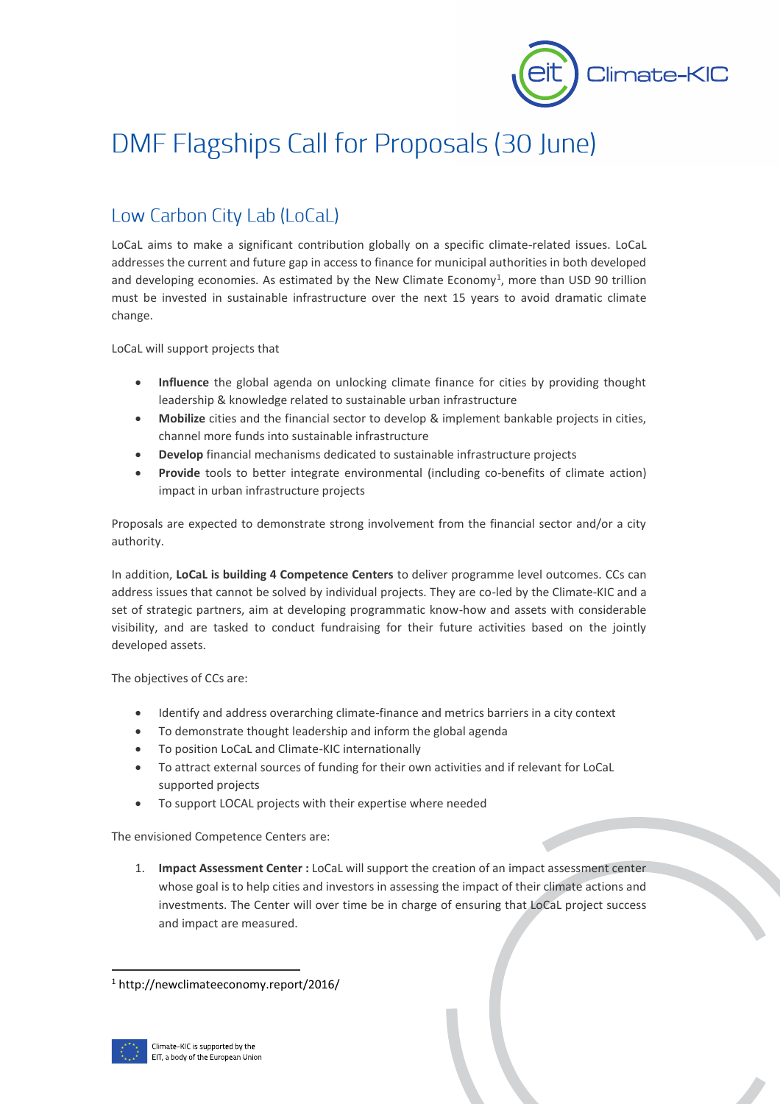

# DMF Flagships Call for Proposals (30 June)

# Low Carbon City Lab (LoCaL)

LoCaL aims to make a significant contribution globally on a specific climate-related issues. LoCaL addresses the current and future gap in access to finance for municipal authorities in both developed and developing economies. As estimated by the New Climate Economy<sup>1</sup>, more than USD 90 trillion must be invested in sustainable infrastructure over the next 15 years to avoid dramatic climate change.

LoCaL will support projects that

- **Influence** the global agenda on unlocking climate finance for cities by providing thought leadership & knowledge related to sustainable urban infrastructure
- **Mobilize** cities and the financial sector to develop & implement bankable projects in cities, channel more funds into sustainable infrastructure
- **Develop** financial mechanisms dedicated to sustainable infrastructure projects
- **Provide** tools to better integrate environmental (including co-benefits of climate action) impact in urban infrastructure projects

Proposals are expected to demonstrate strong involvement from the financial sector and/or a city authority.

In addition, **LoCaL is building 4 Competence Centers** to deliver programme level outcomes. CCs can address issues that cannot be solved by individual projects. They are co-led by the Climate-KIC and a set of strategic partners, aim at developing programmatic know-how and assets with considerable visibility, and are tasked to conduct fundraising for their future activities based on the jointly developed assets.

The objectives of CCs are:

- Identify and address overarching climate-finance and metrics barriers in a city context
- To demonstrate thought leadership and inform the global agenda
- To position LoCaL and Climate-KIC internationally
- To attract external sources of funding for their own activities and if relevant for LoCaL supported projects
- To support LOCAL projects with their expertise where needed

The envisioned Competence Centers are:

1. **Impact Assessment Center :** LoCaL will support the creation of an impact assessment center whose goal is to help cities and investors in assessing the impact of their climate actions and investments. The Center will over time be in charge of ensuring that LoCaL project success and impact are measured.

<sup>1</sup> http://newclimateeconomy.report/2016/



-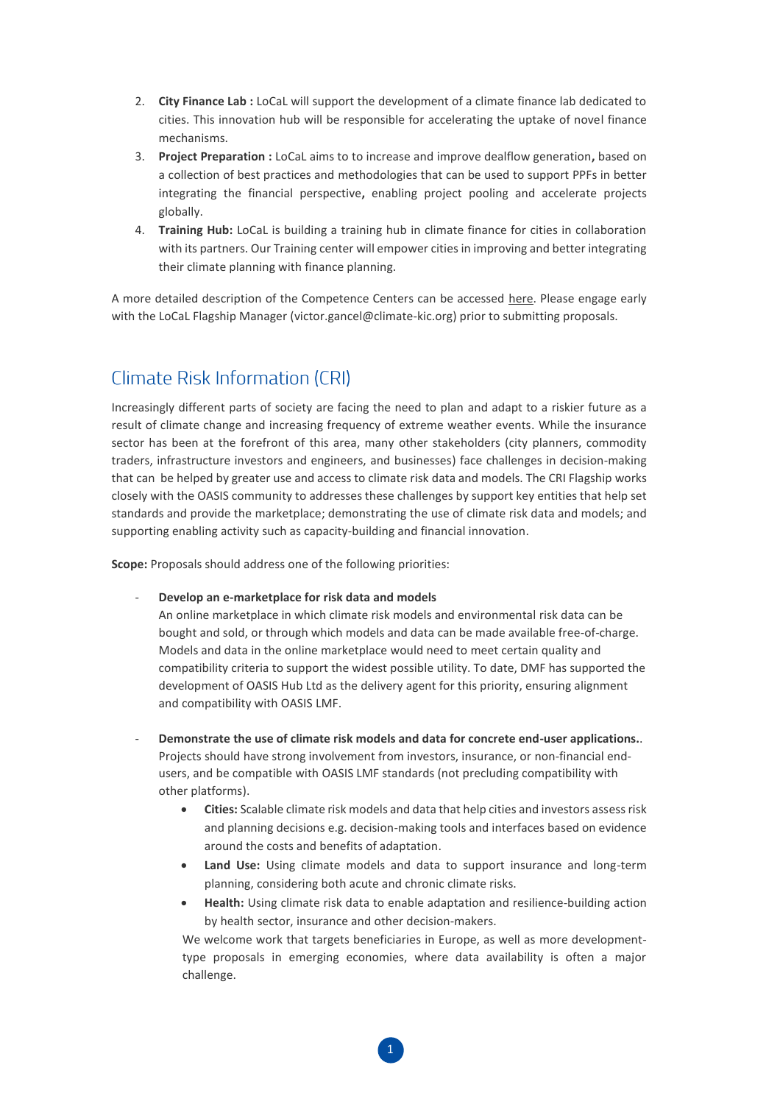- 2. **City Finance Lab :** LoCaL will support the development of a climate finance lab dedicated to cities. This innovation hub will be responsible for accelerating the uptake of novel finance mechanisms.
- 3. **Project Preparation :** LoCaL aims to to increase and improve dealflow generation**,** based on a collection of best practices and methodologies that can be used to support PPFs in better integrating the financial perspective**,** enabling project pooling and accelerate projects globally.
- 4. **Training Hub:** LoCaL is building a training hub in climate finance for cities in collaboration with its partners. Our Training center will empower cities in improving and better integrating their climate planning with finance planning.

A more detailed description of the Competence Centers can be accessed [here.](http://www.climate-kic.org/wp-content/uploads/2017/05/LoCaL-Competence-Center_Call-for-Proposals.pdf) Please engage early with the LoCaL Flagship Manager [\(victor.gancel@climate-kic.org\)](mailto:victor.gancel@climate-kic.org) prior to submitting proposals.

## **Climate Risk Information (CRI)**

Increasingly different parts of society are facing the need to plan and adapt to a riskier future as a result of climate change and increasing frequency of extreme weather events. While the insurance sector has been at the forefront of this area, many other stakeholders (city planners, commodity traders, infrastructure investors and engineers, and businesses) face challenges in decision-making that can be helped by greater use and access to climate risk data and models. The CRI Flagship works closely with the OASIS community to addresses these challenges by support key entities that help set standards and provide the marketplace; demonstrating the use of climate risk data and models; and supporting enabling activity such as capacity-building and financial innovation.

**Scope:** Proposals should address one of the following priorities:

- **Develop an e-marketplace for risk data and models** 

An online marketplace in which climate risk models and environmental risk data can be bought and sold, or through which models and data can be made available free-of-charge. Models and data in the online marketplace would need to meet certain quality and compatibility criteria to support the widest possible utility. To date, DMF has supported the development of OASIS Hub Ltd as the delivery agent for this priority, ensuring alignment and compatibility with OASIS LMF.

- **Demonstrate the use of climate risk models and data for concrete end-user applications.**. Projects should have strong involvement from investors, insurance, or non-financial endusers, and be compatible with OASIS LMF standards (not precluding compatibility with other platforms).
	- **Cities:** Scalable climate risk models and data that help cities and investors assess risk and planning decisions e.g. decision-making tools and interfaces based on evidence around the costs and benefits of adaptation.
	- **Land Use:** Using climate models and data to support insurance and long-term planning, considering both acute and chronic climate risks.
	- **Health:** Using climate risk data to enable adaptation and resilience-building action by health sector, insurance and other decision-makers.

We welcome work that targets beneficiaries in Europe, as well as more developmenttype proposals in emerging economies, where data availability is often a major challenge.